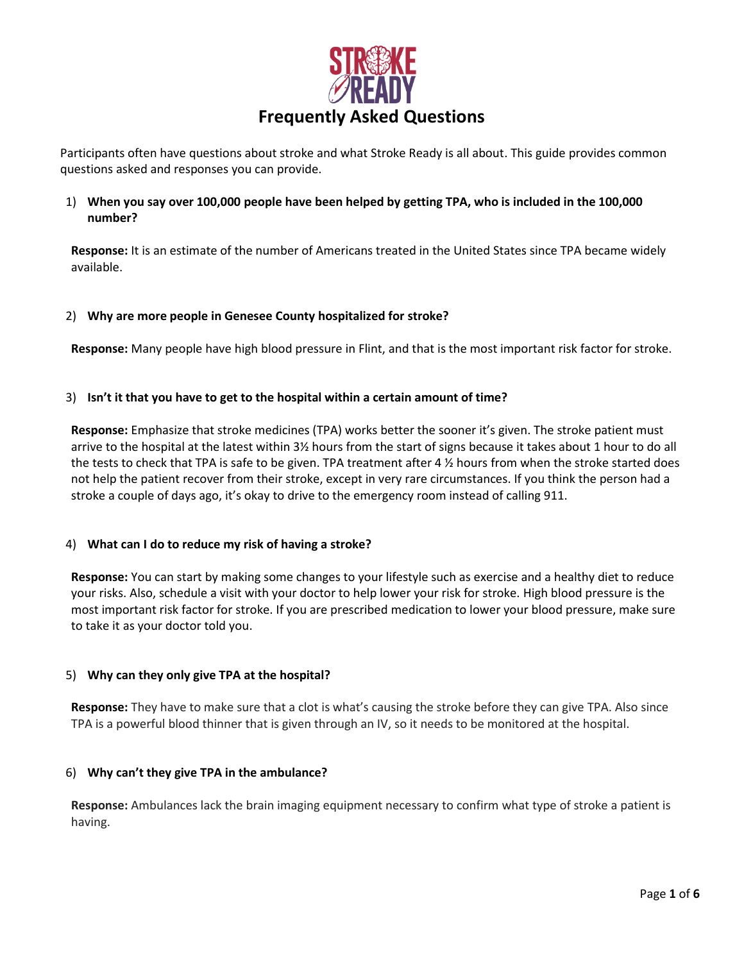

Participants often have questions about stroke and what Stroke Ready is all about. This guide provides common questions asked and responses you can provide.

# 1) **When you say over 100,000 people have been helped by getting TPA, who is included in the 100,000 number?**

**Response:** It is an estimate of the number of Americans treated in the United States since TPA became widely available.

## 2) **Why are more people in Genesee County hospitalized for stroke?**

**Response:** Many people have high blood pressure in Flint, and that is the most important risk factor for stroke.

### 3) **Isn't it that you have to get to the hospital within a certain amount of time?**

**Response:** Emphasize that stroke medicines (TPA) works better the sooner it's given. The stroke patient must arrive to the hospital at the latest within 3½ hours from the start of signs because it takes about 1 hour to do all the tests to check that TPA is safe to be given. TPA treatment after 4 % hours from when the stroke started does not help the patient recover from their stroke, except in very rare circumstances. If you think the person had a stroke a couple of days ago, it's okay to drive to the emergency room instead of calling 911.

#### 4) **What can I do to reduce my risk of having a stroke?**

**Response:** You can start by making some changes to your lifestyle such as exercise and a healthy diet to reduce your risks. Also, schedule a visit with your doctor to help lower your risk for stroke. High blood pressure is the most important risk factor for stroke. If you are prescribed medication to lower your blood pressure, make sure to take it as your doctor told you.

## 5) **Why can they only give TPA at the hospital?**

**Response:** They have to make sure that a clot is what's causing the stroke before they can give TPA. Also since TPA is a powerful blood thinner that is given through an IV, so it needs to be monitored at the hospital.

#### 6) **Why can't they give TPA in the ambulance?**

**Response:** Ambulances lack the brain imaging equipment necessary to confirm what type of stroke a patient is having.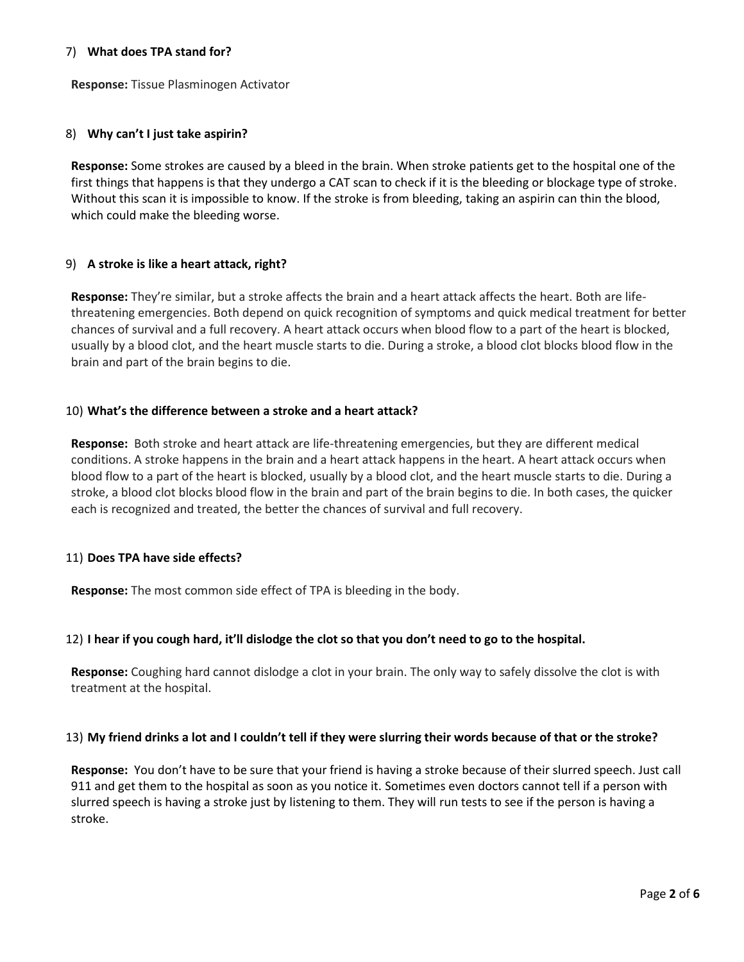### 7) **What does TPA stand for?**

**Response:** Tissue Plasminogen Activator

### 8) **Why can't I just take aspirin?**

**Response:** Some strokes are caused by a bleed in the brain. When stroke patients get to the hospital one of the first things that happens is that they undergo a CAT scan to check if it is the bleeding or blockage type of stroke. Without this scan it is impossible to know. If the stroke is from bleeding, taking an aspirin can thin the blood, which could make the bleeding worse.

## 9) **A stroke is like a heart attack, right?**

**Response:** They're similar, but a stroke affects the brain and a heart attack affects the heart. Both are lifethreatening emergencies. Both depend on quick recognition of symptoms and quick medical treatment for better chances of survival and a full recovery. A heart attack occurs when blood flow to a part of the heart is blocked, usually by a blood clot, and the heart muscle starts to die. During a stroke, a blood clot blocks blood flow in the brain and part of the brain begins to die.

### 10) **What's the difference between a stroke and a heart attack?**

**Response:** Both stroke and heart attack are life-threatening emergencies, but they are different medical conditions. A stroke happens in the brain and a heart attack happens in the heart. A heart attack occurs when blood flow to a part of the heart is blocked, usually by a blood clot, and the heart muscle starts to die. During a stroke, a blood clot blocks blood flow in the brain and part of the brain begins to die. In both cases, the quicker each is recognized and treated, the better the chances of survival and full recovery.

## 11) **Does TPA have side effects?**

**Response:** The most common side effect of TPA is bleeding in the body.

## 12) **I hear if you cough hard, it'll dislodge the clot so that you don't need to go to the hospital.**

**Response:** Coughing hard cannot dislodge a clot in your brain. The only way to safely dissolve the clot is with treatment at the hospital.

#### 13) **My friend drinks a lot and I couldn't tell if they were slurring their words because of that or the stroke?**

**Response:** You don't have to be sure that your friend is having a stroke because of their slurred speech. Just call 911 and get them to the hospital as soon as you notice it. Sometimes even doctors cannot tell if a person with slurred speech is having a stroke just by listening to them. They will run tests to see if the person is having a stroke.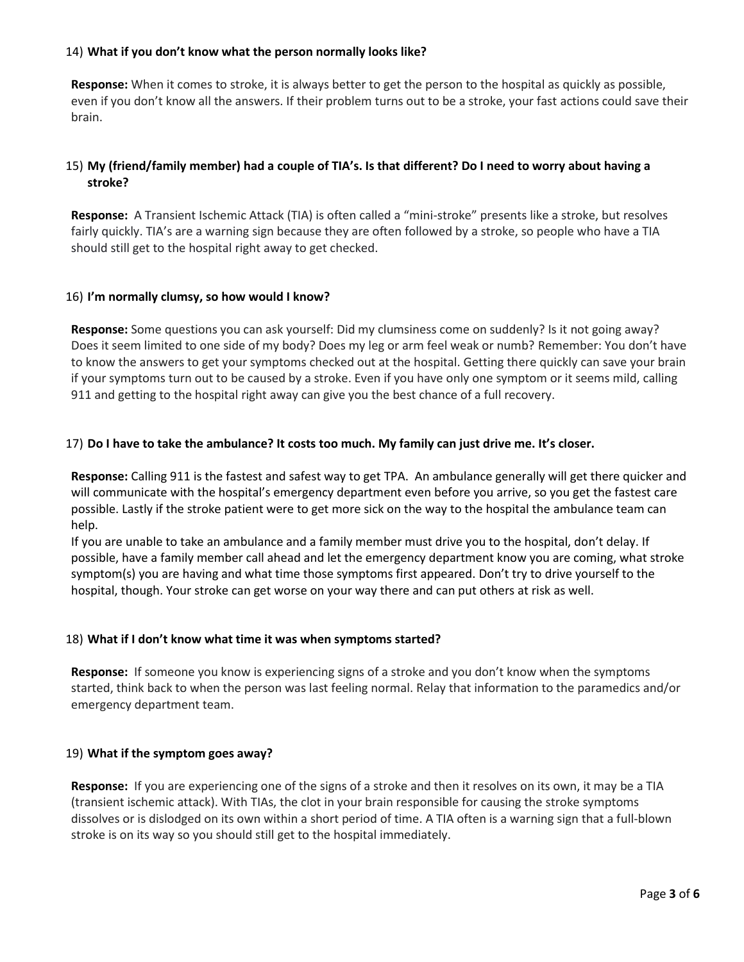## 14) **What if you don't know what the person normally looks like?**

**Response:** When it comes to stroke, it is always better to get the person to the hospital as quickly as possible, even if you don't know all the answers. If their problem turns out to be a stroke, your fast actions could save their brain.

# 15) **My (friend/family member) had a couple of TIA's. Is that different? Do I need to worry about having a stroke?**

**Response:** A Transient Ischemic Attack (TIA) is often called a "mini-stroke" presents like a stroke, but resolves fairly quickly. TIA's are a warning sign because they are often followed by a stroke, so people who have a TIA should still get to the hospital right away to get checked.

### 16) **I'm normally clumsy, so how would I know?**

**Response:** Some questions you can ask yourself: Did my clumsiness come on suddenly? Is it not going away? Does it seem limited to one side of my body? Does my leg or arm feel weak or numb? Remember: You don't have to know the answers to get your symptoms checked out at the hospital. Getting there quickly can save your brain if your symptoms turn out to be caused by a stroke. Even if you have only one symptom or it seems mild, calling 911 and getting to the hospital right away can give you the best chance of a full recovery.

### 17) **Do I have to take the ambulance? It costs too much. My family can just drive me. It's closer.**

**Response:** Calling 911 is the fastest and safest way to get TPA. An ambulance generally will get there quicker and will communicate with the hospital's emergency department even before you arrive, so you get the fastest care possible. Lastly if the stroke patient were to get more sick on the way to the hospital the ambulance team can help.

If you are unable to take an ambulance and a family member must drive you to the hospital, don't delay. If possible, have a family member call ahead and let the emergency department know you are coming, what stroke symptom(s) you are having and what time those symptoms first appeared. Don't try to drive yourself to the hospital, though. Your stroke can get worse on your way there and can put others at risk as well.

#### 18) **What if I don't know what time it was when symptoms started?**

**Response:** If someone you know is experiencing signs of a stroke and you don't know when the symptoms started, think back to when the person was last feeling normal. Relay that information to the paramedics and/or emergency department team.

#### 19) **What if the symptom goes away?**

**Response:** If you are experiencing one of the signs of a stroke and then it resolves on its own, it may be a TIA (transient ischemic attack). With TIAs, the clot in your brain responsible for causing the stroke symptoms dissolves or is dislodged on its own within a short period of time. A TIA often is a warning sign that a full-blown stroke is on its way so you should still get to the hospital immediately.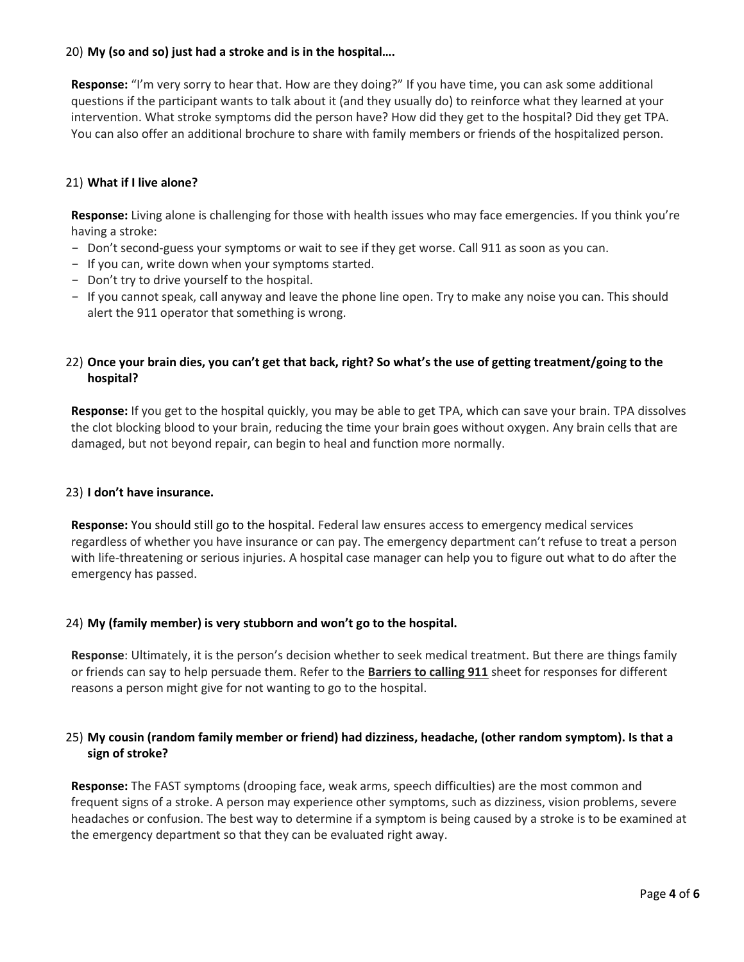# 20) **My (so and so) just had a stroke and is in the hospital….**

**Response:** "I'm very sorry to hear that. How are they doing?" If you have time, you can ask some additional questions if the participant wants to talk about it (and they usually do) to reinforce what they learned at your intervention. What stroke symptoms did the person have? How did they get to the hospital? Did they get TPA. You can also offer an additional brochure to share with family members or friends of the hospitalized person.

# 21) **What if I live alone?**

**Response:** Living alone is challenging for those with health issues who may face emergencies. If you think you're having a stroke:

- Don't second-guess your symptoms or wait to see if they get worse. Call 911 as soon as you can.
- If you can, write down when your symptoms started.
- Don't try to drive yourself to the hospital.
- If you cannot speak, call anyway and leave the phone line open. Try to make any noise you can. This should alert the 911 operator that something is wrong.

# 22) **Once your brain dies, you can't get that back, right? So what's the use of getting treatment/going to the hospital?**

**Response:** If you get to the hospital quickly, you may be able to get TPA, which can save your brain. TPA dissolves the clot blocking blood to your brain, reducing the time your brain goes without oxygen. Any brain cells that are damaged, but not beyond repair, can begin to heal and function more normally.

## 23) **I don't have insurance.**

**Response:** You should still go to the hospital. Federal law ensures access to emergency medical services regardless of whether you have insurance or can pay. The emergency department can't refuse to treat a person with life-threatening or serious injuries. A hospital case manager can help you to figure out what to do after the emergency has passed.

## 24) **My (family member) is very stubborn and won't go to the hospital.**

**Response**: Ultimately, it is the person's decision whether to seek medical treatment. But there are things family or friends can say to help persuade them. Refer to the **Barriers to calling 911** sheet for responses for different reasons a person might give for not wanting to go to the hospital.

# 25) **My cousin (random family member or friend) had dizziness, headache, (other random symptom). Is that a sign of stroke?**

**Response:** The FAST symptoms (drooping face, weak arms, speech difficulties) are the most common and frequent signs of a stroke. A person may experience other symptoms, such as dizziness, vision problems, severe headaches or confusion. The best way to determine if a symptom is being caused by a stroke is to be examined at the emergency department so that they can be evaluated right away.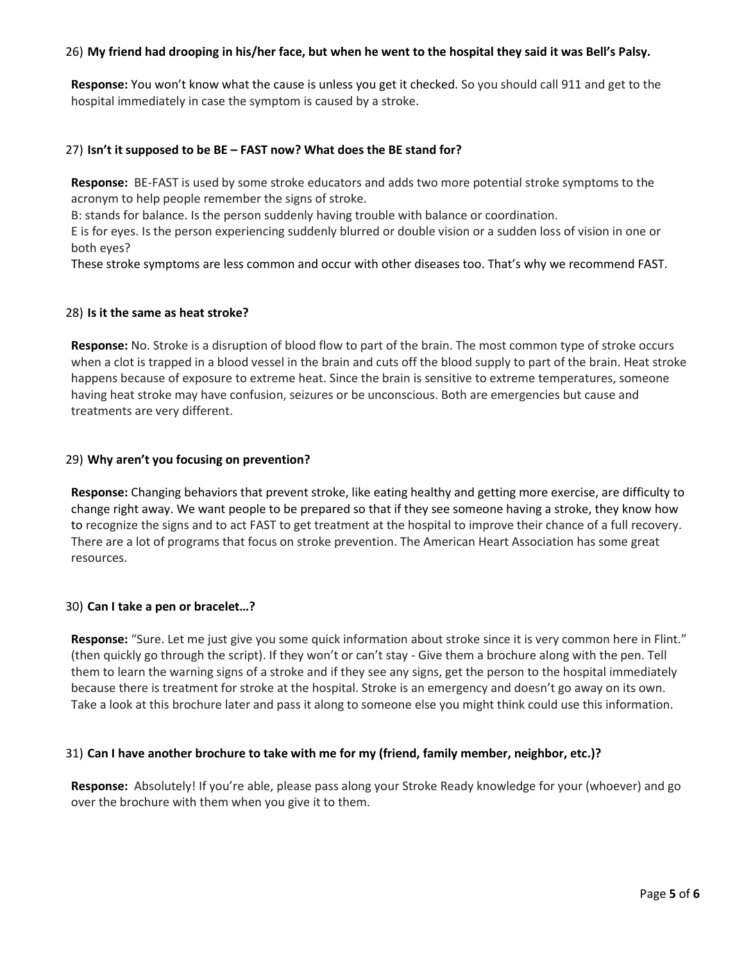## 26) **My friend had drooping in his/her face, but when he went to the hospital they said it was Bell's Palsy.**

**Response:** You won't know what the cause is unless you get it checked. So you should call 911 and get to the hospital immediately in case the symptom is caused by a stroke.

### 27) **Isn't it supposed to be BE – FAST now? What does the BE stand for?**

**Response:** BE-FAST is used by some stroke educators and adds two more potential stroke symptoms to the acronym to help people remember the signs of stroke.

B: stands for balance. Is the person suddenly having trouble with balance or coordination.

E is for eyes. Is the person experiencing suddenly blurred or double vision or a sudden loss of vision in one or both eyes?

These stroke symptoms are less common and occur with other diseases too. That's why we recommend FAST.

#### 28) **Is it the same as heat stroke?**

**Response:** No. Stroke is a disruption of blood flow to part of the brain. The most common type of stroke occurs when a clot is trapped in a blood vessel in the brain and cuts off the blood supply to part of the brain. Heat stroke happens because of exposure to extreme heat. Since the brain is sensitive to extreme temperatures, someone having heat stroke may have confusion, seizures or be unconscious. Both are emergencies but cause and treatments are very different.

### 29) **Why aren't you focusing on prevention?**

**Response:** Changing behaviors that prevent stroke, like eating healthy and getting more exercise, are difficulty to change right away. We want people to be prepared so that if they see someone having a stroke, they know how to recognize the signs and to act FAST to get treatment at the hospital to improve their chance of a full recovery. There are a lot of programs that focus on stroke prevention. The American Heart Association has some great resources.

#### 30) **Can I take a pen or bracelet…?**

**Response:** "Sure. Let me just give you some quick information about stroke since it is very common here in Flint." (then quickly go through the script). If they won't or can't stay - Give them a brochure along with the pen. Tell them to learn the warning signs of a stroke and if they see any signs, get the person to the hospital immediately because there is treatment for stroke at the hospital. Stroke is an emergency and doesn't go away on its own. Take a look at this brochure later and pass it along to someone else you might think could use this information.

## 31) **Can I have another brochure to take with me for my (friend, family member, neighbor, etc.)?**

**Response:** Absolutely! If you're able, please pass along your Stroke Ready knowledge for your (whoever) and go over the brochure with them when you give it to them.